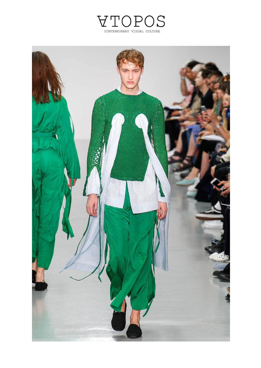